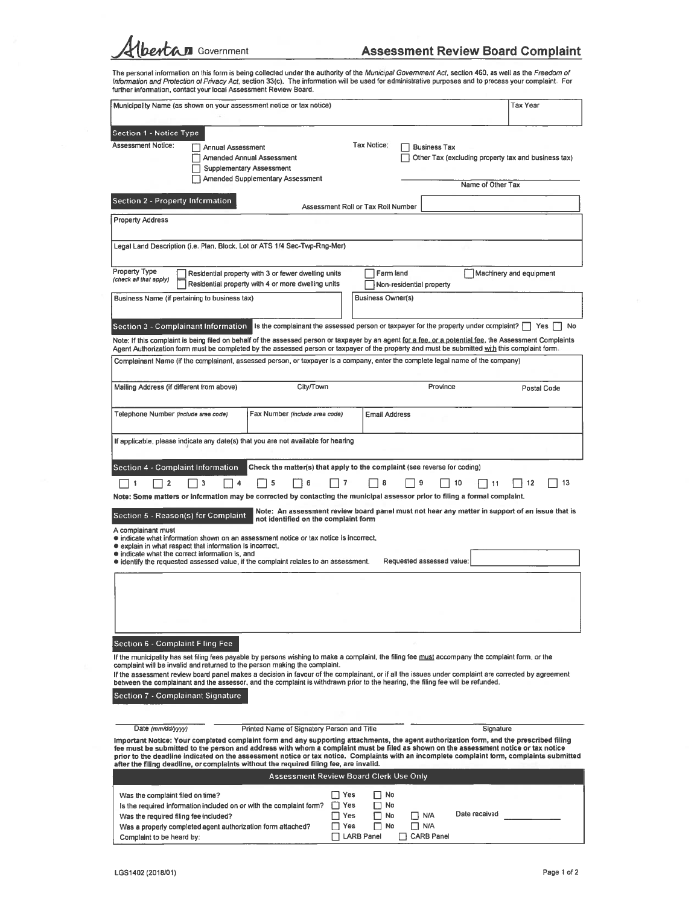# Hbertan Government Assessment Review Board Complaint

| <b>Albertan</b> Government                                                                                                                                                                                                                                                                                                                                                                                                                                                                                                                                                                                                                          | <b>Assessment Review Board Complaint</b>                                                                                                      |                         |
|-----------------------------------------------------------------------------------------------------------------------------------------------------------------------------------------------------------------------------------------------------------------------------------------------------------------------------------------------------------------------------------------------------------------------------------------------------------------------------------------------------------------------------------------------------------------------------------------------------------------------------------------------------|-----------------------------------------------------------------------------------------------------------------------------------------------|-------------------------|
| The personal information on this form is being collected under the authority of the Municipal Government Act, section 460, as well as the Freedom of<br>Information and Protection of Privacy Act, section 33(c). The information will be used for administrative purposes and to process your complaint. For<br>further information, contact your local Assessment Review Board.                                                                                                                                                                                                                                                                   |                                                                                                                                               |                         |
| Municipality Name (as shown on your assessment notice or tax notice)                                                                                                                                                                                                                                                                                                                                                                                                                                                                                                                                                                                |                                                                                                                                               | Tax Year                |
| Section 1 - Notice Type<br>Assessment Notice:<br><b>Annual Assessment</b><br>Amended Annual Assessment<br><b>Supplementary Assessment</b><br>Amended Supplementary Assessment                                                                                                                                                                                                                                                                                                                                                                                                                                                                       | Tax Notice:<br><b>Business Tax</b><br>Other Tax (excluding property tax and business tax)<br>Name of Other Tax                                |                         |
| Section 2 - Property Information                                                                                                                                                                                                                                                                                                                                                                                                                                                                                                                                                                                                                    | Assessment Roll or Tax Roll Number                                                                                                            |                         |
| <b>Property Address</b>                                                                                                                                                                                                                                                                                                                                                                                                                                                                                                                                                                                                                             |                                                                                                                                               |                         |
| Legal Land Description (i.e. Plan, Block, Lot or ATS 1/4 Sec-Twp-Rng-Mer)                                                                                                                                                                                                                                                                                                                                                                                                                                                                                                                                                                           |                                                                                                                                               |                         |
| Property Type<br>Residential property with 3 or fewer dwelling units<br>(check all that apply)<br>Residential property with 4 or more dwelling units                                                                                                                                                                                                                                                                                                                                                                                                                                                                                                | Farm land<br>Non-residential property                                                                                                         | Machinery and equipment |
| Business Name (if pertaining to business tax)                                                                                                                                                                                                                                                                                                                                                                                                                                                                                                                                                                                                       | <b>Business Owner(s)</b>                                                                                                                      |                         |
| Section 3 - Complainant Information Is the complainant the assessed person or taxpayer for the property under complaint?<br>Yes<br>No<br>Note: If this complaint is being filed on behalf of the assessed person or taxpayer by an agent for a fee, or a potential fee, the Assessment Complaints<br>Agent Authorization form must be completed by the assessed person or taxpayer of the property and must be submitted with this complaint form.                                                                                                                                                                                                  |                                                                                                                                               |                         |
| Complainant Name (if the complainant, assessed person, or taxpayer is a company, enter the complete legal name of the company)                                                                                                                                                                                                                                                                                                                                                                                                                                                                                                                      |                                                                                                                                               |                         |
| City/Town<br>Mailing Address (if different from above)                                                                                                                                                                                                                                                                                                                                                                                                                                                                                                                                                                                              | Province                                                                                                                                      | <b>Postal Code</b>      |
| Telephone Number (include area code)<br>Fax Number (include area code)                                                                                                                                                                                                                                                                                                                                                                                                                                                                                                                                                                              | <b>Email Address</b>                                                                                                                          |                         |
| If applicable, please indicate any date(s) that you are not available for hearing                                                                                                                                                                                                                                                                                                                                                                                                                                                                                                                                                                   |                                                                                                                                               |                         |
| Check the matter(s) that apply to the complaint (see reverse for coding)<br>Section 4 - Complaint Information<br>5<br>13<br>6<br>8<br>10<br>12<br>2<br>з<br>Note: Some matters or information may be corrected by contacting the municipal assessor prior to filing a formal complaint.<br>Note: An assessment review board panel must not hear any matter in support of an issue that is<br>Section 5 - Reason(s) for Complaint<br>not identified on the complaint form<br>A complainant must<br>• indicate what information shown on an assessment notice or tax notice is incorrect,<br>e explain in what respect that information is incorrect. |                                                                                                                                               |                         |
| . indicate what the correct information is, and<br>• identify the requested assessed value, if the complaint relates to an assessment.                                                                                                                                                                                                                                                                                                                                                                                                                                                                                                              | Requested assessed value:                                                                                                                     |                         |
|                                                                                                                                                                                                                                                                                                                                                                                                                                                                                                                                                                                                                                                     |                                                                                                                                               |                         |
| Section 6 - Complaint Filing Fee<br>If the municipality has set filing fees payable by persons wishing to make a complaint, the filing fee must accompany the complaint form, or the<br>complaint will be invalid and returned to the person making the complaint.<br>If the assessment review board panel makes a decision in favour of the complainant, or if all the issues under complaint are corrected by agreement<br>between the complainant and the assessor, and the complaint is withdrawn prior to the hearing, the filing fee will be refunded.<br>Section 7 - Complainant Signature                                                   |                                                                                                                                               |                         |
| Printed Name of Signatory Person and Title<br>Date (mm/dd/yyyy)<br>Important Notice: Your completed complaint form and any supporting attachments, the agent authorization form, and the prescribed filing<br>fee must be submitted to the person and address with whom a complaint must be filed as shown on the assessment notice or tax notice<br>prior to the deadline indicated on the assessment notice or tax notice. Complaints with an incomplete complaint form, complaints submitted<br>after the filing deadline, or complaints without the required filing fee, are invalid.                                                           | Signature                                                                                                                                     |                         |
|                                                                                                                                                                                                                                                                                                                                                                                                                                                                                                                                                                                                                                                     | <b>Assessment Review Board Clerk Use Only</b>                                                                                                 |                         |
| l⊟ Yes<br>Was the complaint filed on time?<br>Is the required information included on or with the complaint form?<br>. .<br>∏ Yes<br>Was the required filing fee included?<br>Was a properly completed agent authorization form attached?<br>$\mathsf{L}$<br>Complaint to be heard by:                                                                                                                                                                                                                                                                                                                                                              | □ No<br>No<br>Yes<br>Date received<br>$\Box$ No<br>ר N/A<br>$\Box$ N/A<br>Yes<br>No<br>$\mathsf{L}$<br><b>LARB Panel</b><br><b>CARB Panel</b> |                         |